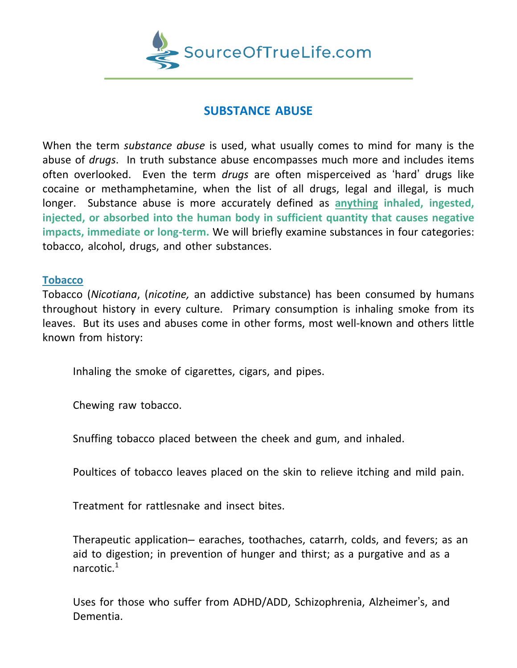

# **SUBSTANCE ABUSE**

When the term *substance abuse* is used, what usually comes to mind for many is the abuse of *drugs*. In truth substance abuse encompasses much more and includes items often overlooked. Even the term *drugs* are often misperceived as 'hard' drugs like cocaine or methamphetamine, when the list of all drugs, legal and illegal, is much longer. Substance abuse is more accurately defined as **anything inhaled, ingested, injected, or absorbed into the human body in sufficient quantity that causes negative impacts, immediate or long-term.** We will briefly examine substances in four categories: tobacco, alcohol, drugs, and other substances.

# **Tobacco**

Tobacco (*Nicotiana*, (*nicotine,* an addictive substance) has been consumed by humans throughout history in every culture. Primary consumption is inhaling smoke from its leaves. But its uses and abuses come in other forms, most well-known and others little known from history:

Inhaling the smoke of cigarettes, cigars, and pipes.

Chewing raw tobacco.

Snuffing tobacco placed between the cheek and gum, and inhaled.

Poultices of tobacco leaves placed on the skin to relieve itching and mild pain.

Treatment for rattlesnake and insect bites.

Therapeutic application– earaches, toothaches, catarrh, colds, and fevers; as an aid to digestion; in prevention of hunger and thirst; as a purgative and as a narcotic.<sup>1</sup>

Uses for those who suffer from ADHD/ADD, Schizophrenia, Alzheimer's, and Dementia.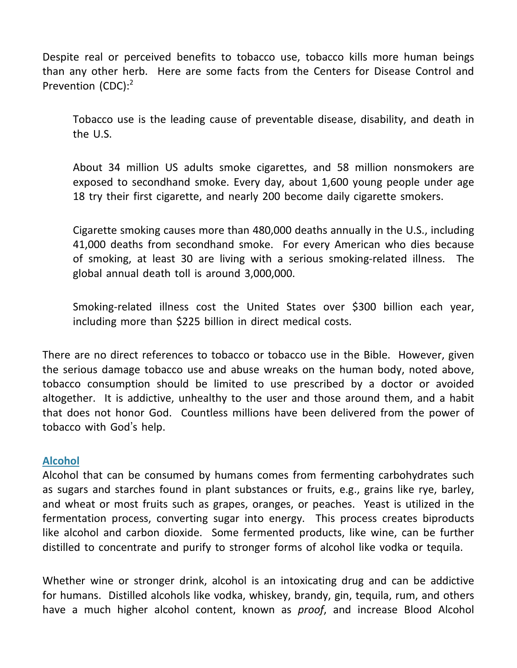Despite real or perceived benefits to tobacco use, tobacco kills more human beings than any other herb. Here are some facts from the Centers for Disease Control and Prevention (CDC):<sup>2</sup>

Tobacco use is the leading cause of preventable disease, disability, and death in the U.S.

About 34 million US adults smoke cigarettes, and 58 million nonsmokers are exposed to secondhand smoke. Every day, about 1,600 young people under age 18 try their first cigarette, and nearly 200 become daily cigarette smokers.

Cigarette smoking causes more than 480,000 deaths annually in the U.S., including 41,000 deaths from secondhand smoke. For every American who dies because of smoking, at least 30 are living with a serious smoking-related illness. The global annual death toll is around 3,000,000.

Smoking-related illness cost the United States over \$300 billion each year, including more than \$225 billion in direct medical costs.

There are no direct references to tobacco or tobacco use in the Bible. However, given the serious damage tobacco use and abuse wreaks on the human body, noted above, tobacco consumption should be limited to use prescribed by a doctor or avoided altogether. It is addictive, unhealthy to the user and those around them, and a habit that does not honor God. Countless millions have been delivered from the power of tobacco with God's help.

# **Alcohol**

Alcohol that can be consumed by humans comes from fermenting carbohydrates such as sugars and starches found in plant substances or fruits, e.g., grains like rye, barley, and wheat or most fruits such as grapes, oranges, or peaches. Yeast is utilized in the fermentation process, converting sugar into energy. This process creates biproducts like alcohol and carbon dioxide. Some fermented products, like wine, can be further distilled to concentrate and purify to stronger forms of alcohol like vodka or tequila.

Whether wine or stronger drink, alcohol is an intoxicating drug and can be addictive for humans. Distilled alcohols like vodka, whiskey, brandy, gin, tequila, rum, and others have a much higher alcohol content, known as *proof*, and increase Blood Alcohol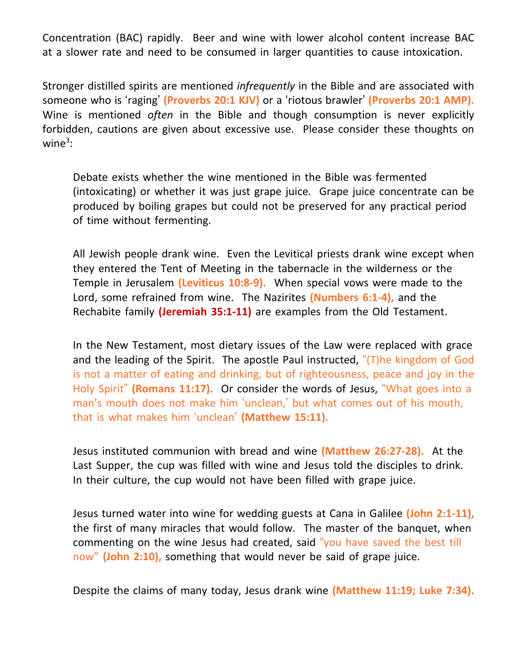Concentration (BAC) rapidly. Beer and wine with lower alcohol content increase BAC at a slower rate and need to be consumed in larger quantities to cause intoxication.

Stronger distilled spirits are mentioned *infrequently* in the Bible and are associated with someone who is 'raging' **(Proverbs 20:1 KJV)** or a 'riotous brawler' **(Proverbs 20:1 AMP).** Wine is mentioned *often* in the Bible and though consumption is never explicitly forbidden, cautions are given about excessive use. Please consider these thoughts on wine $3$ :

Debate exists whether the wine mentioned in the Bible was fermented (intoxicating) or whether it was just grape juice. Grape juice concentrate can be produced by boiling grapes but could not be preserved for any practical period of time without fermenting.

All Jewish people drank wine. Even the Levitical priests drank wine except when they entered the Tent of Meeting in the tabernacle in the wilderness or the Temple in Jerusalem **(Leviticus 10:8-9).** When special vows were made to the Lord, some refrained from wine. The Nazirites **(Numbers 6:1-4),** and the Rechabite family **(Jeremiah 35:1-11)** are examples from the Old Testament.

In the New Testament, most dietary issues of the Law were replaced with grace and the leading of the Spirit. The apostle Paul instructed, "(T)he kingdom of God is not a matter of eating and drinking, but of righteousness, peace and joy in the Holy Spirit" **(Romans 11:17).** Or consider the words of Jesus, "What goes into a man's mouth does not make him 'unclean,' but what comes out of his mouth, that is what makes him 'unclean' **(Matthew 15:11).**

Jesus instituted communion with bread and wine **(Matthew 26:27-28).** At the Last Supper, the cup was filled with wine and Jesus told the disciples to drink. In their culture, the cup would not have been filled with grape juice.

Jesus turned water into wine for wedding guests at Cana in Galilee **(John 2:1-11),** the first of many miracles that would follow. The master of the banquet, when commenting on the wine Jesus had created, said "you have saved the best till now" **(John 2:10),** something that would never be said of grape juice.

Despite the claims of many today, Jesus drank wine **(Matthew 11:19; Luke 7:34).**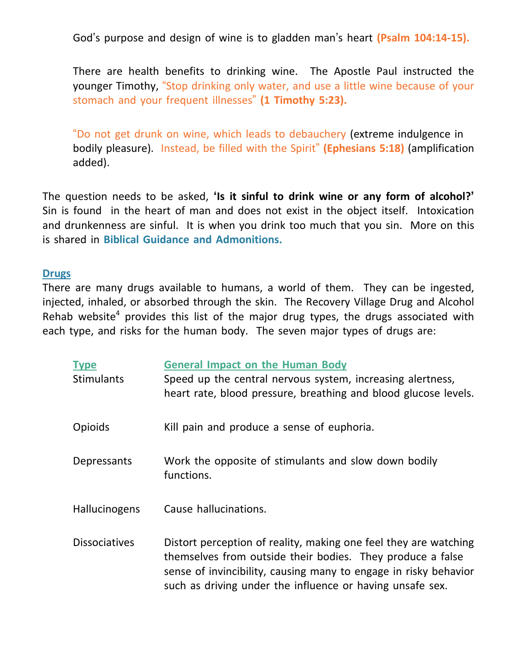God's purpose and design of wine is to gladden man's heart **(Psalm 104:14-15).**

There are health benefits to drinking wine. The Apostle Paul instructed the younger Timothy, "Stop drinking only water, and use a little wine because of your stomach and your frequent illnesses" **(1 Timothy 5:23).**

"Do not get drunk on wine, which leads to debauchery (extreme indulgence in bodily pleasure). Instead, be filled with the Spirit" **(Ephesians 5:18)** (amplification added).

The question needs to be asked, **'Is it sinful to drink wine or any form of alcohol?'** Sin is found in the heart of man and does not exist in the object itself. Intoxication and drunkenness are sinful. It is when you drink too much that you sin. More on this is shared in **Biblical Guidance and Admonitions.**

#### **Drugs**

There are many drugs available to humans, a world of them. They can be ingested, injected, inhaled, or absorbed through the skin. The Recovery Village Drug and Alcohol Rehab website<sup>4</sup> provides this list of the major drug types, the drugs associated with each type, and risks for the human body. The seven major types of drugs are:

| <b>Type</b><br><b>Stimulants</b> | <b>General Impact on the Human Body</b><br>Speed up the central nervous system, increasing alertness,<br>heart rate, blood pressure, breathing and blood glucose levels.                                                                                        |
|----------------------------------|-----------------------------------------------------------------------------------------------------------------------------------------------------------------------------------------------------------------------------------------------------------------|
| Opioids                          | Kill pain and produce a sense of euphoria.                                                                                                                                                                                                                      |
| Depressants                      | Work the opposite of stimulants and slow down bodily<br>functions.                                                                                                                                                                                              |
| <b>Hallucinogens</b>             | Cause hallucinations.                                                                                                                                                                                                                                           |
| <b>Dissociatives</b>             | Distort perception of reality, making one feel they are watching<br>themselves from outside their bodies. They produce a false<br>sense of invincibility, causing many to engage in risky behavior<br>such as driving under the influence or having unsafe sex. |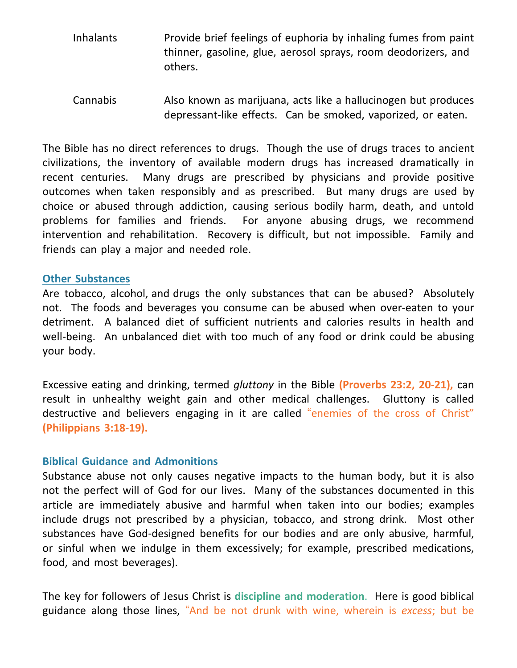- Inhalants Provide brief feelings of euphoria by inhaling fumes from paint thinner, gasoline, glue, aerosol sprays, room deodorizers, and others.
- Cannabis Also known as marijuana, acts like a hallucinogen but produces depressant-like effects. Can be smoked, vaporized, or eaten.

The Bible has no direct references to drugs. Though the use of drugs traces to ancient civilizations, the inventory of available modern drugs has increased dramatically in recent centuries. Many drugs are prescribed by physicians and provide positive outcomes when taken responsibly and as prescribed. But many drugs are used by choice or abused through addiction, causing serious bodily harm, death, and untold problems for families and friends. For anyone abusing drugs, we recommend intervention and rehabilitation. Recovery is difficult, but not impossible. Family and friends can play a major and needed role.

#### **Other Substances**

Are tobacco, alcohol, and drugs the only substances that can be abused? Absolutely not. The foods and beverages you consume can be abused when over-eaten to your detriment. A balanced diet of sufficient nutrients and calories results in health and well-being. An unbalanced diet with too much of any food or drink could be abusing your body.

Excessive eating and drinking, termed *gluttony* in the Bible **(Proverbs 23:2, 20-21),** can result in unhealthy weight gain and other medical challenges. Gluttony is called destructive and believers engaging in it are called "enemies of the cross of Christ" **(Philippians 3:18-19).**

# **Biblical Guidance and Admonitions**

Substance abuse not only causes negative impacts to the human body, but it is also not the perfect will of God for our lives. Many of the substances documented in this article are immediately abusive and harmful when taken into our bodies; examples include drugs not prescribed by a physician, tobacco, and strong drink. Most other substances have God-designed benefits for our bodies and are only abusive, harmful, or sinful when we indulge in them excessively; for example, prescribed medications, food, and most beverages).

The key for followers of Jesus Christ is **discipline and moderation**. Here is good biblical guidance along those lines, "And be not drunk with wine, wherein is *excess*; but be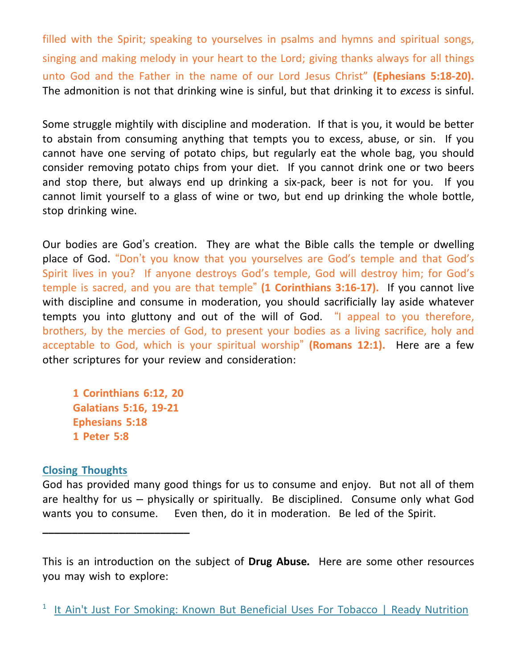filled with the Spirit; speaking to yourselves in psalms and hymns and spiritual songs, singing and making melody in your heart to the Lord; giving thanks always for all things unto God and the Father in the name of our Lord Jesus Christ" **(Ephesians 5:18-20).** The admonition is not that drinking wine is sinful, but that drinking it to *excess* is sinful.

Some struggle mightily with discipline and moderation. If that is you, it would be better to abstain from consuming anything that tempts you to excess, abuse, or sin. If you cannot have one serving of potato chips, but regularly eat the whole bag, you should consider removing potato chips from your diet. If you cannot drink one or two beers and stop there, but always end up drinking a six-pack, beer is not for you. If you cannot limit yourself to a glass of wine or two, but end up drinking the whole bottle, stop drinking wine.

Our bodies are God's creation. They are what the Bible calls the temple or dwelling place of God. "Don't you know that you yourselves are God's temple and that God's Spirit lives in you? If anyone destroys God's temple, God will destroy him; for God's temple is sacred, and you are that temple" **(1 Corinthians 3:16-17).** If you cannot live with discipline and consume in moderation, you should sacrificially lay aside whatever tempts you into gluttony and out of the will of God. "I appeal to you therefore, brothers, by the mercies of God, to present your bodies as a living sacrifice, holy and acceptable to God, which is your spiritual worship" **(Romans 12:1).** Here are a few other scriptures for your review and consideration:

 **1 Corinthians 6:12, 20 Galatians 5:16, 19-21 Ephesians 5:18 1 Peter 5:8**

**\_\_\_\_\_\_\_\_\_\_\_\_\_\_\_\_\_\_\_\_\_\_\_\_\_**

# **Closing Thoughts**

God has provided many good things for us to consume and enjoy. But not all of them are healthy for us – physically or spiritually. Be disciplined. Consume only what God wants you to consume. Even then, do it in moderation. Be led of the Spirit.

This is an introduction on the subject of **Drug Abuse***.* Here are some other resources you may wish to explore:

<sup>&</sup>lt;sup>1</sup> It Ain't Just For Smoking: Known But [Beneficial](https://readynutrition.com/resources/it-aint-just-for-smoking-known-but-beneficial-uses-for-tobacco_27082010/) Uses For Tobacco | Ready Nutrition